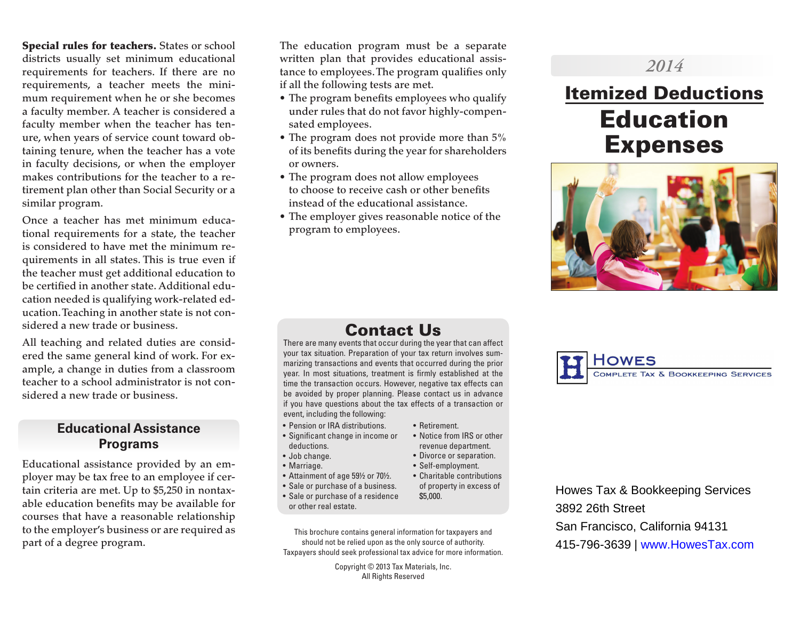Special rules for teachers. States or school districts usually set minimum educational requirements for teachers. If there are no requirements, a teacher meets the minimum requirement when he or she becomes a faculty member. A teacher is considered a faculty member when the teacher has tenure, when years of service count toward obtaining tenure, when the teacher has a vote in faculty decisions, or when the employer makes contributions for the teacher to a retirement plan other than Social Security or a similar program.

Once a teacher has met minimum educational requirements for a state, the teacher is considered to have met the minimum requirements in all states. This is true even if the teacher must get additional education to be certified in another state. Additional education needed is qualifying work-related education. Teaching in another state is not considered a new trade or business.

All teaching and related duties are considered the same general kind of work. For example, a change in duties from a classroom teacher to a school administrator is not considered a new trade or business.

# **Educational Assistance Programs**

Educational assistance provided by an employer may be tax free to an employee if certain criteria are met. Up to \$5,250 in nontaxable education benefits may be available for courses that have a reasonable relationship to the employer's business or are required as part of a degree program.

The education program must be a separate written plan that provides educational assistance to employees. The program qualifies only if all the following tests are met.

- The program benefits employees who qualify under rules that do not favor highly-compensated employees.
- The program does not provide more than 5% of its benefits during the year for shareholders or owners.
- The program does not allow employees to choose to receive cash or other benefits instead of the educational assistance.
- The employer gives reasonable notice of the program to employees.

# *2014*

# Itemized Deductions Education Expenses



# Contact Us

There are many events that occur during the year that can affect your tax situation. Preparation of your tax return involves summarizing transactions and events that occurred during the prior year. In most situations, treatment is firmly established at the time the transaction occurs. However, negative tax effects can be avoided by proper planning. Please contact us in advance if you have questions about the tax effects of a transaction or event, including the following:

• Retirement.

\$5,000.

• Notice from IRS or other revenue department. • Divorce or separation. • Self-employment.

of property in excess of

- Pension or IRA distributions.
- Significant change in income or deductions.
- Job change.
- Marriage.
- Attainment of age 59½ or 70½. • Charitable contributions
- Sale or purchase of a business.
- Sale or purchase of a residence or other real estate.
- This brochure contains general information for taxpayers and should not be relied upon as the only source of authority. Taxpayers should seek professional tax advice for more information.

Copyright © 2013 Tax Materials, Inc. All Rights Reserved



Howes Tax & Bookkeeping Services 3892 26th Street San Francisco, California 94131 415-796-3639 | www.HowesTax.com